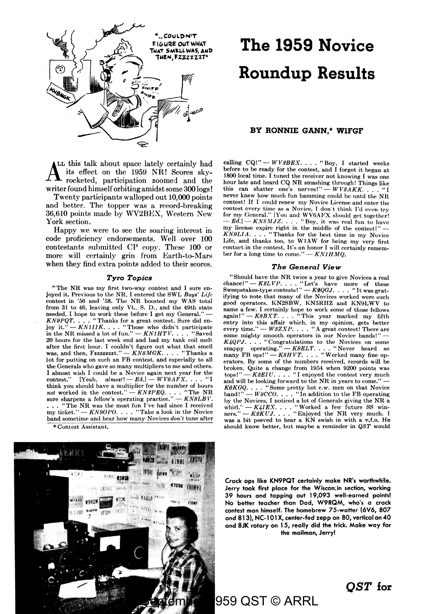

AL this talk about space lately certainly had its effect on the 1959 NR! Scores skyrocketed, participation zoomed and the writer found himself orbiting amidst some 300 logs!

Twenty participants walloped out 10,000 points and better. The topper was a record-breaking 36,610 points made by WV2BEX, Western New York section.

Happy we were to see the soaring interest in code proficiency endorsements. Well over 100 contestants submitted CP copy. These 100 or more will certainly grin from Earth-to-Mars when they find extra points added to their scores.

#### *Tyro Topics*

"The NR was my first two-way contest and I sure enjoyed it. Previous to the NR, I entered the SWL *Boys' Life*  contest in '56 and '58. The NR boosted my WAS total from 31 to 46, leaving only Vt., S. D., and the 49th state needed. I hope to work these before I get my General." --<br>*KN9PQT*. . . . "Thanks for a great contest. Sure did en-<br>joy it." -- *KN1IIK*. . . . "Those who didn't participate in the NR missed a lot of fun."  $-KNIHTV$ . . . . "Saved 20 hours for the last week end and had my tank coil melt after the first hour. I couldn't figure out what that smell was, and then, Fzzzzzzzt." - *KN8MGK.* . . . "Thanks a lot for putting on such an FB contest, and especially to all the Generals who gave so many multipliers to me and others. I almost wish I could be a Novice again next year for the contest," [Yeah, *almosl!* - *Ed.)* - *WV6AFX .* ... "I think you should have a multiplier for the number of hours *not* worked in the contest." — *KN2PEQ*. . . . "The NR sure sharpens a fellow's operating practice." — *KN8LBV*. •.. "The **NR** was the most fun I've had since I received my ticket."  $-KN90P0.$ ... "Take a look in the Novice" band sometime and hear how many Novices *don't* tune after

\* Contest Assistant.



# **The 1959 Novice Roundup Results**

#### **BY RONNIE GANN,\* WlFGF**

calling  $CQ$ !"  $-WV2BEX$ .... "Boy, I started weeks before to be ready for the contest, and I forgot it began at 1800 local time. I tuned the receiver not knowing I was one hour late and heard CQ NR smashing through! Things like this can shatter one's nerves!" -  $WV2AKK.$ ... "I never knew how much fun hamming could be until the NR contest! If I could renew my Novice License and enter the contest every time as a Novice, I don't think I'd even try for my General.'' [You and WV6AFX should get together!<br>--- *Ed*.] — *KN8MJZ*. . . . "Boy, it was real fun to have my license expire right in the middle of the contest!" *KN9LIA.* . . . "Thanks for the best time in my Novice<br>Life, and thanks too, to W1AW for being my very first contact in the contest. It's an honor I will certainly remember for a long time to come."  $-KNIHMO$ .

#### *The General View*

"Should have the NR twice a year to give Novices a real chance!" — *K2LVP*. . . . "Let's have more of these<br>Sweepstakes-type contests!" — *K0QGJ*. . . . "It was gratifying to note that many of the Novices worked were such good operators. KN2SBW, KN5RHZ and KN9LWV to name a few. I certainly hope to work some of those fellows<br>again!" -- *K8BXT*. . . . "This year marked my fifth entry into this affair which, in my opinion, gets better every time." -  $W3ZXP.$  . . . " A great contest! There are some mighty smooth operators in our Novice bands!" - *K4QPJ.* . . . "Congratulations to the Novices on some snappy operating." *- K9ELT*. . . . "Never heard so many FB ops!" - *K8HVT*. . . . "Worked many fine operators. By some of the numbers received, records will be broken. Quite a change from 1954 when 9200 points was  $\tau$ tops!"  $-K2EIU$ . . . . "I enjoyed the contest very much and will be looking forward to the NR in years to come." *Kf/!KGQ .* ... "Some pretty hot c.w. men on that Novice  $band!" - W9CCO.$ ... "In addition to the FB operating by the Novices, J noticed a lot of Generals giving the NR a whirl.'' — *K4IEX*, , , , "Worked a few future SS win-<br>ners.'' — *K2KUJ*, , , , "Enjoyed the NR very much. I was a bit peeved to hear a  $\bar{KN}$  swish in with a v.f.o. He should know better, but maybe a reminder in *QST* would

**Crack ops like KN9PQT certainly make NR's worthwh11e. Jerry took first place for** the **Wisconcin section, working 39 hours and tapping out 19,093 well-earned points!**  No better teacher !hon Dod, **W9RQM,** who's o crock contest man himself. The homebrew 75-watter {6V6, 807 and 813), NC-101X, center-fed zepp on 80, vertical on 40 and 8JK rotary on 15, really did the trick. Make way for the mailman, Jerry!

### *QST* **for**

959 QST © ARRL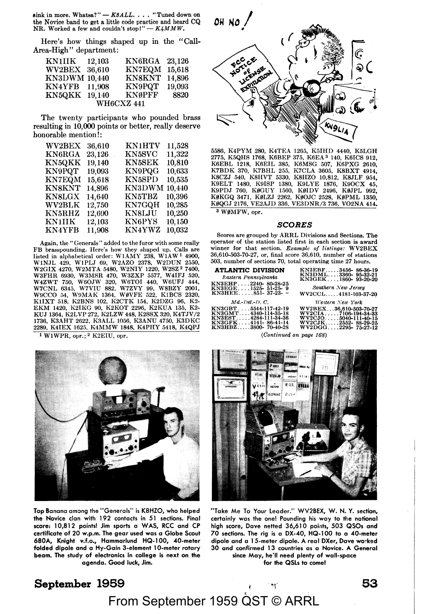sink in more. Whatsa?" -  $K8ALL...$  "Tuned down on the Novice band to get a little code practice and heard CQ NR. Worked a few and couldn't stop!"  $-K4MMW$ .

Here's how things shaped up in the "Call-Area-High" department:

| <b>KN1IIK</b>     | 12,103 | <b>KN6RGA</b> | 23,126 |
|-------------------|--------|---------------|--------|
| <b>WV2BEX</b>     | 36,610 | <b>KN7EQM</b> | 15,618 |
| KN3DWM 10,440     |        | <b>KN8KNT</b> | 14.896 |
| KN4YFB            | 11.908 | KN9PQT        | 19.093 |
| KN5QKK            | 19.140 | <b>KNØPFF</b> | 8820   |
| <b>WH6CXZ 441</b> |        |               |        |

The twenty participants who pounded brass resulting in **10,000** points or better, really deserve honorable mention!:

| <b>WV2BEX</b> | 36,610 | <b>KN1HTV</b> | 11,528 |
|---------------|--------|---------------|--------|
| KN6RGA        | 23,126 | KN5SVC        | 11,322 |
| <b>KN5QKK</b> | 19,140 | <b>KN5SEK</b> | 10,810 |
| KN9PQT        | 19,093 | KN9PQG        | 10,633 |
| <b>KN7EQM</b> | 15,618 | KN5SPD        | 10,535 |
| <b>KN8KNT</b> | 14,896 | <b>KN3DWM</b> | 10.440 |
| <b>KN8LGX</b> | 14.640 | KN5TBZ        | 10.396 |
| <b>WV2BLK</b> | 12.750 | <b>KN7GQH</b> | 10,285 |
| KN5RHZ        | 12,690 | KN8LJU        | 10,250 |
| KN1HK         | 12,103 | KN6PYS        | 10,150 |
| <b>KN4YFB</b> | 11.908 | <b>KN4YWZ</b> | 10,032 |
|               |        |               |        |

Again, the "Generals" added to the furor with some really FB brasspounding. Here's how they shaped up. Calls are listed in alphabetical order: WlAMY 238, WlAW 1 4900, WlNJL 429, WlPLJ 69, W2AZO 2378, W2DUN 2550, W2GIX 4270, W2MTA 5480, W2NIY 1220, W2SZ 2 7400, W3FHR 6930, W3MSR 470, W3ZXP 5577, W4IFJ 520,<br>W4ZWT 750, W6OJW 320, W6TOI 440, W6UFJ 444,<br>W7CNL 6345, W7VIU 882, W7ZVY 99, W8BZY 2001,<br>W9CCO 54, W9MAK 1364, W9VFE 522, K1BCS 2320, KlIXT 518; K2BNS 102, K2CTK 154, K2DZG 96, K2- EKM 1420, K2IKG 90, K2KOT 2296, K2KUA 135, K2- KUJ 1364, K2LVP 272, K2LZW 448, K2SSX 320, K4TJV /2 1736, K3AHT 2622, K3ALL 1056, K3ANU 4750, K3DKC 2289, K4IEX 1625, K4MMW 1848, K4PHY 5418, K4QPJ

1 WlWPR, opr.; 2 K2EIU, opr.



5586, K4PYM 280, K4TEA 1265, K5IHD 4440, K5LGH 2775, K5QHS 1768, K6BEP 375, K6EA 3 140, K6ICS 912, K6EBL 1218, K6EIL 385, K6MSG 507, K6PXG 2610, K7BDK 370, K7BHL 255, K7CLA 3605, K8BXT 4914, K8CZJ 540, K8HVT 5330, K8HZO 10,812, K8JLF 954,<br>K9ELT 1480, K9ISP 1380, K9LYE 1876, K9OCX 45,<br>K9PDJ 760, KØGUY 1560, KØIDV 2496, KØJPL 992, KØKGQ 3471, KØLZJ 2262, KØOJC 2528, KØPML 1350,<br>KØQGJ 2176, VE2AJD 336, VE3DNR/3 736, VO2NA 414**.** 

<sup>3</sup> WØMFW, opr.

#### *SCORES*

Scores are grouped by ARRL Divisions and Sections. The operator of the station listed first in each section is award winner for that section. *Example of listings:* WV2BEX 36,610-503-70-27, or, final score 36,610, number of stations 503, number of sections 70, total operating time 27 hours.

| <b>ATLANTIC DIVISION</b> | KN3EBF3456-86-36-19    |
|--------------------------|------------------------|
| Eastern Pennsylvania     | KN3DML3360-95-32-21    |
| KN3EHP2240-80-28-25      | KN3GEK1860-93-20-20    |
| KN3EGE1525-51-25-9       | Southern New Jersey    |
| $KN3HEE851-37-23-$       | WV2CCL4181-103-37-20   |
| $Md$ -Del.-D. $C$ .      | Western New York       |
| KN3GBT 5544-117-42-19    | WV2BEX36.610-503-70-27 |
| KN3GMT4340-114-35-18     | WV2CIA7106-194-34-33   |
| KN3EST 4284-111-34-36    | WV2CJO5040-111-40-15   |
| KN3GFK4141-86-41-14      | WV2CJK2552--88-29-25   |
| KN3HBZ3800-70-40-28      | WV2DGG2295-75-27-12    |

*(Continued on page 168)* 



Top Banana among the "Generals" is KSHZO, who helped the Novice clan with 192 contacts in 51 sections. Final score: 10,812 points! Jim sports a WAS, RCC and CP certificate of 20 w.p.m. The gear used wos o Globe Scout **680A,** Knight v.f.o., Hammarlund HQ-1 00, 40-meter **folded dipole and a Hy-Gain 3-element l 0-meter rotary beam. The study of electronics** in **college is next on the agenda. Good luck, Jim.** 



"Take Me To Your Leader." WV2BEX, **W. N. Y.** section, certainly was the one! Pounding his way to the national high score, Dave netted 36,610 points, 503 QSOs and 70 sections. The rig is a DX-40, HQ-1 00 to a 40-meter dipole and a 15-meter dipole. A real DXer, Dave worked 30 and confirmed 13 countries as a Novice. A General since May, he'll need plenty of wall-space for the QSLs to come!

## **September 1969**  From September 1959 QST © ARRL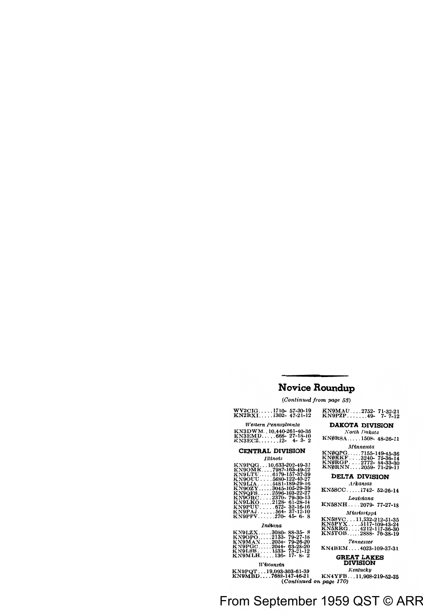### Novice Roundup

 $(Continued from page 53)$ 

#### WV2CIG....1710-57-30-19  $KN2RX1$  1302-47-21-12

#### Western Pennsulvania

| KN3DWM10.440-261-40-36 |  |  |  |
|------------------------|--|--|--|
| KN3EMD666- 27-18-10    |  |  |  |
| KN3ECZ12- 4-3-2        |  |  |  |

#### CENTRAL DIVISION

#### **Illinois**

| KN9PQG10.633-202-49-31 |                        |
|------------------------|------------------------|
| KN9OMK.                | 7987-163-49-22         |
|                        |                        |
| <b>KN9LTU</b>          | 6179-157-37-39         |
| KN9OUU                 | 5680-122-40-27         |
| <b>KN9LIA</b>          | 5481-189-29-16         |
| KN90ZY                 | 3045-105-29-39         |
| KN9OFS. .              | 2596-103-22-27         |
| KN9ORC.                | . 2370- 79-30-13       |
| <b>KN9LKO</b>          | 2128-61-28-14          |
| KN9PUU                 | $.672 - .32 - 16 - 16$ |
| KN9PAJ.                | . 564 - 37 - 12 - 10   |
| KN9PPV                 | . 270–45–6–8           |
|                        |                        |

#### Indiana

| KN9LZX3080-88-35-8    |  |
|-----------------------|--|
| KN9OPO2133-79-27-18   |  |
| KN9MAN2054-79-26-20   |  |
| KN9PGC2044-- 63-28-20 |  |
| KN9LSB1533-73-21-12   |  |
| KN9MLH136-17-8-2      |  |

#### **W**isconsin

#### KN9POT...19.093-303-61-39 KN9MBD....7682-147-46-21

| KN9MAU |       | $.2752 - 71 - 32 - 21$ |
|--------|-------|------------------------|
| KN9PZP | $49-$ | $7 - 7 - 12$           |

#### **DAKOTA DIVISION**

North Dakota

KNØRSA....1508-48-26-11

#### **Minnesota**

| <b>KNØQPG</b> |         | 7155-149-45-36  |
|---------------|---------|-----------------|
| <b>KNØRKF</b> |         | .3240-75-36-14  |
| <b>KNØRGP</b> | . 2772- | 84-33-30        |
| <b>KNØRNN</b> |         | .2059- 71-29-11 |

#### **DELTA DIVISION**

**Arkansas** 

KN5SCC 1742-52-26-14

#### Louisiana

KN5SNH 2070-77-27-18

#### **Mississippi**

| KN5SVC        | 11.332-212-51-35 |
|---------------|------------------|
| KN5PYX        | .5117-109-43-24  |
| <b>KN5RRG</b> | 4212-117-36-30   |
| <b>KN5TOB</b> | 2888-76-38-19    |

#### Tennessee

KN4BEM 4033-109-37-31

#### **GREAT LAKES DIVISION**

Kentucku

KN4YFB...11.908-219-52-35 (Continued on page 170)

### rom September 1959 QST © ARR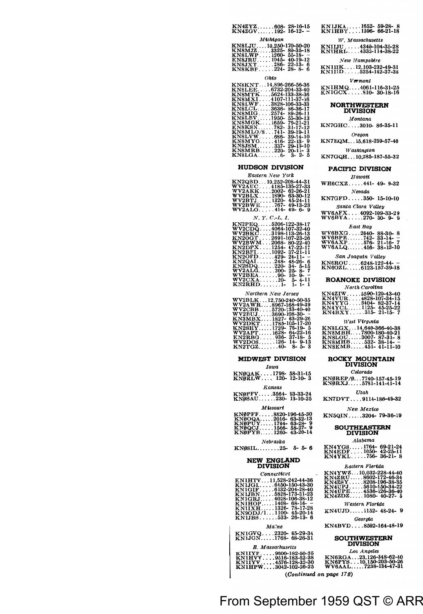| $KN4ZYZ608-28-16-15$<br>$KN4ZGV192-16-12-$ |  |
|--------------------------------------------|--|
| Michigan                                   |  |

| KN8LJU10.250-170-50-20 |  |
|------------------------|--|
| KN8MJZ3325-80-35-18    |  |
| KN8LWP1260-55-18--     |  |
| $KN8JRU1045-40-19-12$  |  |
| KN8JXT286-22-13-6      |  |
| $KN8KBP224-28-8-6$     |  |

 $O<sub>ba</sub>$ 

| KN8KNT14.896-266-56-36           |
|----------------------------------|
| KN8LEE6732-204-33-40             |
| KN8MTK<br>- 5624-133-38-36       |
| <b>KN8MXL</b><br>.4107-111-37-16 |
| KN8LWF3828-106-33-33             |
| KN8LCL3636-86-36-17              |
| KN8MIG<br>$.2574 - 89 - 26 - 11$ |
| KN8LBV<br>. 1950- 55-30-13       |
| KN8MGK1659-- 79-21-21            |
| KN8KSN782- 31-17-12              |
| KN8MLO/8741-39-19-11             |
|                                  |
| $KN8MYG416-22-13-9$              |
| KN8JSM337-29-13-10               |
| KN8MRB220-20-11-3                |
| KN8LGA6- 3-2-5                   |
|                                  |

#### **HUDSON DIVISION**

#### $E$ *astern New York*

| KN2QBD10,252-208-44-31 |
|------------------------|
| WV2AUC4185-135-27-33   |
| WV2AKK2002- 62-26-21   |
| WV2BLX1890-63-30-12    |
| WV2BTJ1320-45-24-11    |
| WV2BWE767-49-13-23     |
| $WV2ALO414-49-6-9$     |
|                        |

*N. Y. C.-L. I.* 

| KN2PEQ5206-122-38-17                                                    |  |
|-------------------------------------------------------------------------|--|
| WV2CDQ4064-107-32-40                                                    |  |
| WV2BKC3198-113-26-13 V                                                  |  |
|                                                                         |  |
|                                                                         |  |
| KN2OGT 2691-107-23-26<br>WV2BWM 2068- 80-22-40<br>KN2DPX 1254- 47-22-17 |  |
| KN2RFI1092-37-21-11                                                     |  |
| $KN20FD429-24-11-$                                                      |  |
| $\overline{KN2QAI}$ 248-48-26-6 p                                       |  |
| $KN2SDQ220-34-5-15$                                                     |  |
| $WV2ALG$ 200- 25- 8- 7                                                  |  |
| $WV2BEA90-10-9-$                                                        |  |
| $WV2CXA120-5-4-11$                                                      |  |
|                                                                         |  |
|                                                                         |  |

*Northern New Jersey* 

| WV2BLK 12.750-240-50-35 |                      |  |
|-------------------------|----------------------|--|
| WV2AWR8967-168-49-39    |                      |  |
| WV2CBB5720-133-40-40    |                      |  |
| WV2BUJ 3690-108-30-     |                      |  |
| KN3MBX1827- 63-29-26    |                      |  |
| WV2DKT1785-105-17-20    |                      |  |
| KN2SHY1729-76-19-5      |                      |  |
| WV2APT1628-- 64-22-16   |                      |  |
| KN2RBG.                 | $.936 - 37 - 18 - 5$ |  |
| WV2DOS126-14-9-13       |                      |  |
| $KN2TGZ$ 40-8-5-3       |                      |  |

#### **MIDWEST DIVISION**

| Iowa                                      |               |  |
|-------------------------------------------|---------------|--|
| KNØQAK1798-58-31-15<br>KNØRLW 120-12-10-3 |               |  |
|                                           |               |  |
|                                           | <b>Kansas</b> |  |
|                                           |               |  |
| KNØPFV3564-93-33-24<br>KNØSAU230-13-10-25 |               |  |
| <b>Missouri</b>                           |               |  |

| KNØPFF8820-196-45-30                  |  |
|---------------------------------------|--|
| $KN00QA$ 2016- 63-32-13               |  |
| KNØPUY1764-63-28-9                    |  |
| $KN\theta QCI \dots 1566 - 58-27 - 9$ |  |
| KNØPYB1260-43-20-14                   |  |

#### *Nebraska*

 $KN\emptyset$ SIL........25- 5-5-6

### **NEW ENGLAND DIVISION**

*Connecticut* 

| $\sim$                   |
|--------------------------|
| KN1HTV11.528-242-44-36   |
| $KN1JGL6450-150-43-30$   |
| $KN1GIF6132-204-28-40$   |
| $KN1JBN .5828-173-31-23$ |
| $KN1GRJ4028-106-38-12$   |
| $KN1HOP1408-68-16-$      |
| $KN1IXH$ 1326-78-17-28   |
| $KN9ODJ/11100-45-20-14$  |
| $KN1JBS533-26-13-6$      |
|                          |

*Ma.~ne* 

| $KN1GVQ2320-65-29-34$<br>$KN1JGN1768-68-26-31$ | <b>SOUTHWESTERI</b> |
|------------------------------------------------|---------------------|
| E. Massachusetts                               | <b>DIVISION</b>     |
|                                                |                     |

**KNlIYP .** . , . , **9600-182-50-35** *Los Angeles* 

(Continued on page 172)

rom September 1959 QST © ARR

### KNlJKA ..... 1652- 59-28- 8 KN lHBY .... 1596- 66-21-18 **TV.** *Massachusetts*

KN1IJU . . . . . 4340-104-35-2:<br>KN1HRL . . . . 4332-114-38-2:  $New$  *Hampshire* 

KNIIIK....12,103-232-49-3<br>KNIIID .....5254-142-37-3  $V<sub>or</sub> mont$ 

KN1HMQ....4061-116-31-2.<br>KN1GCX.....810- 30-18-16

### **NORTHWESTERN DIVISION**

 $$ KN7GHC .... 3010- 86-35-11

#### **Oregon**

KN7EQM ... 15,618-259-57-40 **Washington** 

KN7GQH ... 10,285-187-55-32

#### **PACIFIC DIVISION**

Hawatt WH6CXZ .... .441- 49- 9-32 *Nevada* 

KN7GFD ..... 350- 15-10-10 **Santa Clara Valley** 

WV6AFX .... 4092-109-33-29 WV6BY A ..... 270- 30- 9- 9

#### *East Bay*

| WV6BXG2640-88-30-8    |  |  |
|-----------------------|--|--|
|                       |  |  |
| $WV6AXP576-21-16-7$   |  |  |
| $WV6ALQ$ 456-38-12-10 |  |  |

#### San Joaquin Valley

KN6ROU .... 6248-122-44- - KN60ZL ..... 6123-157-39-18

#### **ROANOKE DIVISION**

#### *North Caroltna*

| $KN4ZIW5590-120-43-40$ |  |  |
|------------------------|--|--|
| KN4VUR4828-107-34-15   |  |  |
| $KN4YYG3404-82-37-14$  |  |  |
| $KN4YCL$ 1125-45-25-22 |  |  |
| $KN4BXY315-21-15-7$    |  |  |

#### **TVest** *Vtrg,nta*

| KN8LGX14.640-366-40-38 |  |
|------------------------|--|
| KN8MBH7800-180-40-21   |  |
| KN8LOU3007-87-31-8     |  |
| $KN8MHB$ 532-38-14--   |  |
| $KN8KMB451-41-11-10$   |  |

## **ROCKY MOUNTAIN DIVISION**

#### $Colorado$

KNØREP/Ø...7740-157-45-19<br>KNØRXJ.....5781-141-41-14 Utah

KN7DVT .... 9114-186-49-32

#### *New Mextco*

KN5QIN ..... 3204- 79-36-19

### **SOUTHEASTERN DIVISION**

#### .4labama

| -------------         |  |  |  |
|-----------------------|--|--|--|
| $KN4YGS1764-69-21-24$ |  |  |  |
| KN4EDF1050-42-25-11   |  |  |  |
| $KN4YKL756-36-21-8$   |  |  |  |

#### *Eastern Flortda*

| KN4YWZ10.032-228-44-40   |  |
|--------------------------|--|
| KN4ZRU8602-172-46-34     |  |
| $KN4ZSY$ .8208-196-38-35 |  |
| $KN4UPJ$ .5610-150-34-22 |  |
| KN4UPE4536-126-36-40     |  |
| $KN4ZDZ1080-40-27-5$     |  |
|                          |  |

#### *Wes tern Flortda*

KN4UJD ..... 1152- 48-24- 9 Georgta

KN4BVD .... 8592-164-48-19

KNIHVV ... . 9516-183-52-38 KN6RGA ... .23, 126-348-62-40<br>KNIIYV ... . . 4576-128-32-30 KN6PYS . . . 10, 150-203-50-26<br>KNIHPW . . . . 3042-102-26-25 WV6AAL . . . . . 7238-134-47-31